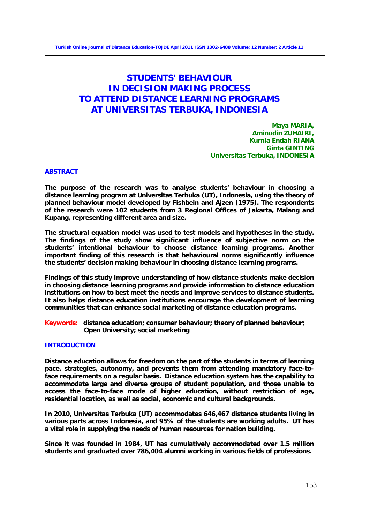# **STUDENTS' BEHAVIOUR IN DECISION MAKING PROCESS TO ATTEND DISTANCE LEARNING PROGRAMS AT UNIVERSITAS TERBUKA, INDONESIA**

**Maya MARIA, Aminudin ZUHAIRI, Kurnia Endah RIANA Ginta GINTING Universitas Terbuka, INDONESIA**

#### **ABSTRACT**

**The purpose of the research was to analyse students' behaviour in choosing a distance learning program at Universitas Terbuka (UT), Indonesia, using the theory of planned behaviour model developed by Fishbein and Ajzen (1975). The respondents of the research were 102 students from 3 Regional Offices of Jakarta, Malang and Kupang, representing different area and size.** 

**The structural equation model was used to test models and hypotheses in the study. The findings of the study show significant influence of subjective norm on the students' intentional behaviour to choose distance learning programs. Another important finding of this research is that behavioural norms significantly influence the students' decision making behaviour in choosing distance learning programs.** 

**Findings of this study improve understanding of how distance students make decision in choosing distance learning programs and provide information to distance education institutions on how to best meet the needs and improve services to distance students. It also helps distance education institutions encourage the development of learning communities that can enhance social marketing of distance education programs.**

**Keywords: distance education; consumer behaviour; theory of planned behaviour; Open University; social marketing**

#### **INTRODUCTION**

**Distance education allows for freedom on the part of the students in terms of learning pace, strategies, autonomy, and prevents them from attending mandatory face-toface requirements on a regular basis. Distance education system has the capability to accommodate large and diverse groups of student population, and those unable to access the face-to-face mode of higher education, without restriction of age, residential location, as well as social, economic and cultural backgrounds.** 

**In 2010, Universitas Terbuka (UT) accommodates 646,467 distance students living in various parts across Indonesia, and 95% of the students are working adults. UT has a vital role in supplying the needs of human resources for nation building.**

**Since it was founded in 1984, UT has cumulatively accommodated over 1.5 million students and graduated over 786,404 alumni working in various fields of professions.**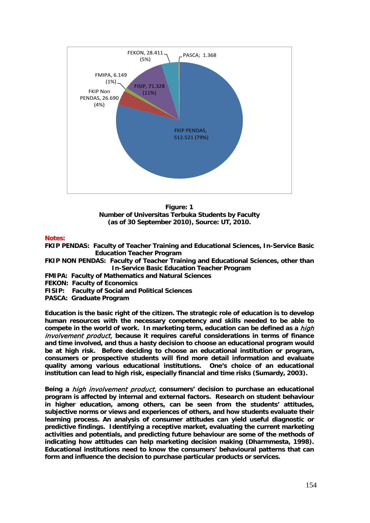

**Figure: 1 Number of Universitas Terbuka Students by Faculty (as of 30 September 2010), Source: UT, 2010.**

# **Notes:**

**FKIP PENDAS: Faculty of Teacher Training and Educational Sciences, In-Service Basic Education Teacher Program** 

**FKIP NON PENDAS: Faculty of Teacher Training and Educational Sciences, other than In-Service Basic Education Teacher Program** 

- **FMIPA: Faculty of Mathematics and Natural Sciences**
- **FEKON: Faculty of Economics**
- **FISIP: Faculty of Social and Political Sciences**
- **PASCA: Graduate Program**

**Education is the basic right of the citizen. The strategic role of education is to develop human resources with the necessary competency and skills needed to be able to compete in the world of work. In marketing term, education can be defined as a** high involvement product, **because it requires careful considerations in terms of finance and time involved, and thus a hasty decision to choose an educational program would be at high risk. Before deciding to choose an educational institution or program, consumers or prospective students will find more detail information and evaluate quality among various educational institutions. One's choice of an educational institution can lead to high risk, especially financial and time risks (Sumardy, 2003).** 

**Being a** high involvement product, **consumers' decision to purchase an educational program is affected by internal and external factors. Research on student behaviour in higher education, among others, can be seen from the students' attitudes, subjective norms or views and experiences of others, and how students evaluate their learning process. An analysis of consumer attitudes can yield useful diagnostic or predictive findings. Identifying a receptive market, evaluating the current marketing activities and potentials, and predicting future behaviour are some of the methods of indicating how attitudes can help marketing decision making (Dharmmesta, 1998). Educational institutions need to know the consumers' behavioural patterns that can form and influence the decision to purchase particular products or services.**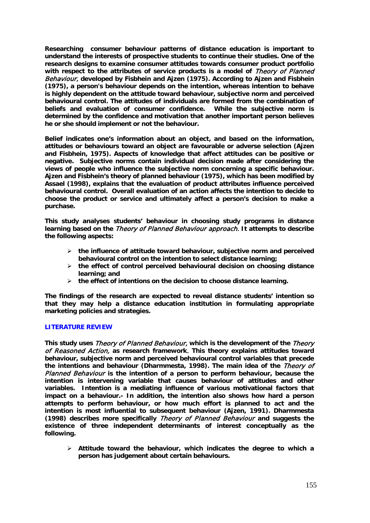**Researching consumer behaviour patterns of distance education is important to understand the interests of prospective students to continue their studies. One of the research designs to examine consumer attitudes towards consumer product portfolio with respect to the attributes of service products is a model of** Theory of Planned Behaviour, **developed by Fisbhein and Ajzen (1975). According to Ajzen and Fisbhein (1975), a person's behaviour depends on the intention, whereas intention to behave is highly dependent on the attitude toward behaviour, subjective norm and perceived behavioural control. The attitudes of individuals are formed from the combination of beliefs and evaluation of consumer confidence. While the subjective norm is determined by the confidence and motivation that another important person believes he or she should implement or not the behaviour.** 

**Belief indicates one's information about an object, and based on the information, attitudes or behaviours toward an object are favourable or adverse selection (Ajzen and Fisbhein, 1975). Aspects of knowledge that affect attitudes can be positive or negative. Subjective norms contain individual decision made after considering the views of people who influence the subjective norm concerning a specific behaviour. Ajzen and Fisbhein's theory of planned behaviour (1975), which has been modified by Assael (1998), explains that the evaluation of product attributes influence perceived behavioural control. Overall evaluation of an action affects the intention to decide to choose the product or service and ultimately affect a person's decision to make a purchase.** 

**This study analyses students' behaviour in choosing study programs in distance learning based on the** Theory of Planned Behaviour approach. **It attempts to describe the following aspects:** 

- **the influence of attitude toward behaviour, subjective norm and perceived behavioural control on the intention to select distance learning;**
- **the effect of control perceived behavioural decision on choosing distance learning; and**
- **the effect of intentions on the decision to choose distance learning.**

**The findings of the research are expected to reveal distance students' intention so that they may help a distance education institution in formulating appropriate marketing policies and strategies.** 

#### **LITERATURE REVIEW**

**This study uses** Theory of Planned Behaviour, **which is the development of the** Theory of Reasoned Action, **as research framework**. **This theory explains attitudes toward behaviour, subjective norm and perceived behavioural control variables that precede the intentions and behaviour (Dharmmesta, 1998). The main idea of the** Theory of Planned Behaviour **is the intention of a person to perform behaviour, because the intention is intervening variable that causes behaviour of attitudes and other variables. Intention is a mediating influence of various motivational factors that impact on a behaviour.- In addition, the intention also shows how hard a person attempts to perform behaviour, or how much effort is planned to act and the intention is most influential to subsequent behaviour (Ajzen, 1991). Dharmmesta (1998) describes more specifically** Theory of Planned Behaviour **and suggests the existence of three independent determinants of interest conceptually as the following.**

 **Attitude toward the behaviour, which indicates the degree to which a person has judgement about certain behaviours.**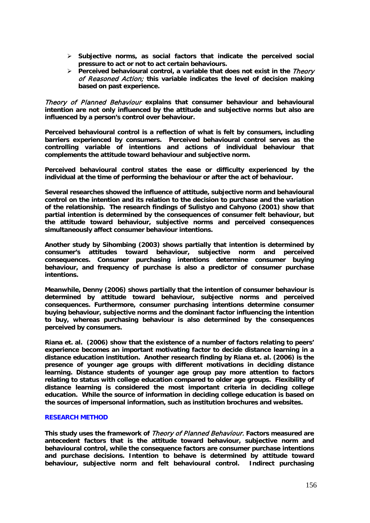- **Subjective norms, as social factors that indicate the perceived social pressure to act or not to act certain behaviours.**
- **Perceived behavioural control, a variable that does not exist in the Theory** of Reasoned Action; **this variable indicates the level of decision making based on past experience.**

Theory of Planned Behaviour **explains that consumer behaviour and behavioural intention are not only influenced by the attitude and subjective norms but also are influenced by a person's control over behaviour.** 

**Perceived behavioural control is a reflection of what is felt by consumers, including barriers experienced by consumers. Perceived behavioural control serves as the controlling variable of intentions and actions of individual behaviour that complements the attitude toward behaviour and subjective norm.** 

**Perceived behavioural control states the ease or difficulty experienced by the individual at the time of performing the behaviour or after the act of behaviour.** 

**Several researches showed the influence of attitude, subjective norm and behavioural control on the intention and its relation to the decision to purchase and the variation of the relationship. The research findings of Sulistyo and Cahyono (2001) show that partial intention is determined by the consequences of consumer felt behaviour, but the attitude toward behaviour, subjective norms and perceived consequences simultaneously affect consumer behaviour intentions.** 

**Another study by Sihombing (2003) shows partially that intention is determined by consumer's attitudes toward behaviour, subjective norm and perceived consequences. Consumer purchasing intentions determine consumer buying behaviour, and frequency of purchase is also a predictor of consumer purchase intentions.** 

**Meanwhile, Denny (2006) shows partially that the intention of consumer behaviour is determined by attitude toward behaviour, subjective norms and perceived consequences. Furthermore, consumer purchasing intentions determine consumer buying behaviour, subjective norms and the dominant factor influencing the intention to buy, whereas purchasing behaviour is also determined by the consequences perceived by consumers.** 

**Riana et. al. (2006) show that the existence of a number of factors relating to peers' experience becomes an important motivating factor to decide distance learning in a distance education institution. Another research finding by Riana et. al. (2006) is the presence of younger age groups with different motivations in deciding distance learning. Distance students of younger age group pay more attention to factors relating to status with college education compared to older age groups. Flexibility of distance learning is considered the most important criteria in deciding college education. While the source of information in deciding college education is based on the sources of impersonal information, such as institution brochures and websites.**

## **RESEARCH METHOD**

**This study uses the framework of** Theory of Planned Behaviour. **Factors measured are antecedent factors that is the attitude toward behaviour, subjective norm and behavioural control, while the consequence factors are consumer purchase intentions and purchase decisions. Intention to behave is determined by attitude toward behaviour, subjective norm and felt behavioural control. Indirect purchasing**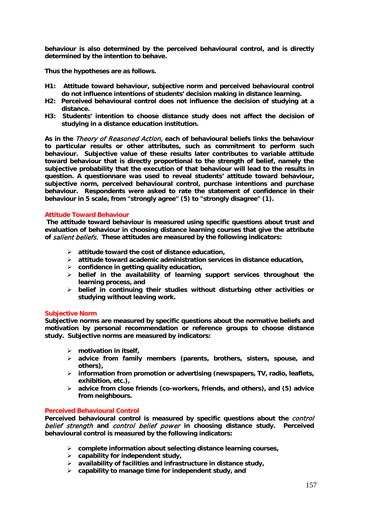**behaviour is also determined by the perceived behavioural control, and is directly determined by the intention to behave.** 

**Thus the hypotheses are as follows.** 

- **H1: Attitude toward behaviour, subjective norm and perceived behavioural control do not influence intentions of students' decision making in distance learning.**
- **H2: Perceived behavioural control does not influence the decision of studying at a distance.**
- **H3: Students' intention to choose distance study does not affect the decision of studying in a distance education institution.**

**As in the** Theory of Reasoned Action, **each of behavioural beliefs links the behaviour to particular results or other attributes, such as commitment to perform such behaviour. Subjective value of these results later contributes to variable attitude toward behaviour that is directly proportional to the strength of belief, namely the subjective probability that the execution of that behaviour will lead to the results in question. A questionnare was used to reveal students' attitude toward behaviour, subjective norm, perceived behavioural control, purchase intentions and purchase behaviour. Respondents were asked to rate the statement of confidence in their behaviour in 5 scale, from "strongly agree" (5) to "strongly disagree" (1).**

## **Attitude Toward Behaviour**

**The attitude toward behaviour is measured using specific questions about trust and evaluation of behaviour in choosing distance learning courses that give the attribute of** salient beliefs. **These attitudes are measured by the following indicators:** 

- **attitude toward the cost of distance education,**
- **attitude toward academic administration services in distance education,**
- **confidence in getting quality education,**
- **belief in the availability of learning support services throughout the learning process, and**
- **belief in continuing their studies without disturbing other activities or studying without leaving work.**

#### **Subjective Norm**

**Subjective norms are measured by specific questions about the normative beliefs and motivation by personal recommendation or reference groups to choose distance study. Subjective norms are measured by indicators:** 

- **motivation in itself,**
- **advice from family members (parents, brothers, sisters, spouse, and others),**
- **information from promotion or advertising (newspapers, TV, radio, leaflets, exhibition, etc.),**
- **advice from close friends (co-workers, friends, and others), and (5) advice from neighbours.**

# **Perceived Behavioural Control**

Perceived behavioural control is measured by specific questions about the *control* belief strength **and** control belief power **in choosing distance study. Perceived behavioural control is measured by the following indicators:** 

- **complete information about selecting distance learning courses,**
- **capability for independent study,**
- **availability of facilities and infrastructure in distance study,**
- **capability to manage time for independent study, and**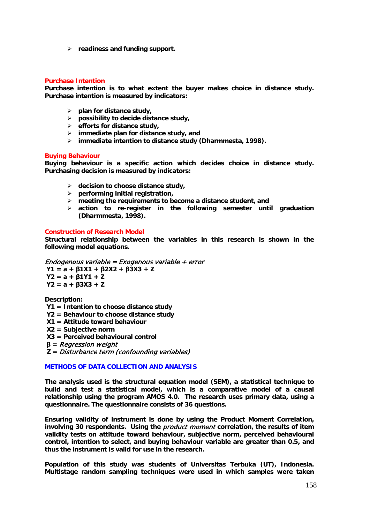**readiness and funding support.** 

# **Purchase Intention**

**Purchase intention is to what extent the buyer makes choice in distance study. Purchase intention is measured by indicators:** 

- **plan for distance study,**
- **possibility to decide distance study,**
- **efforts for distance study,**
- **immediate plan for distance study, and**
- **immediate intention to distance study (Dharmmesta, 1998).**

#### **Buying Behaviour**

**Buying behaviour is a specific action which decides choice in distance study. Purchasing decision is measured by indicators:** 

- **decision to choose distance study,**
- **performing initial registration,**
- **meeting the requirements to become a distance student, and**
- **action to re-register in the following semester until graduation (Dharmmesta, 1998).**

#### **Construction of Research Model**

**Structural relationship between the variables in this research is shown in the following model equations.**

Endogenous variable = Exogenous variable + error **Y1 = a + β1X1 + β2X2 + β3X3 + Z Y2 = a + β1Y1 + Z Y2 = a + β3X3 + Z**

**Description:** 

- **Y1 = Intention to choose distance study**
- **Y2 = Behaviour to choose distance study**
- **X1 = Attitude toward behaviour**
- **X2 = Subjective norm**

**X3 = Perceived behavioural control** 

**β =** Regression weight

**Z =** Disturbance term (confounding variables)

## **METHODS OF DATA COLLECTION AND ANALYSIS**

**The analysis used is the structural equation model (SEM), a statistical technique to build and test a statistical model, which is a comparative model of a causal relationship using the program AMOS 4.0. The research uses primary data, using a questionnaire. The questionnaire consists of 36 questions.** 

**Ensuring validity of instrument is done by using the Product Moment Correlation, involving 30 respondents. Using the** product moment **correlation, the results of item validity tests on attitude toward behaviour, subjective norm, perceived behavioural control, intention to select, and buying behaviour variable are greater than 0.5, and thus the instrument is valid for use in the research.**

**Population of this study was students of Universitas Terbuka (UT), Indonesia. Multistage random sampling techniques were used in which samples were taken**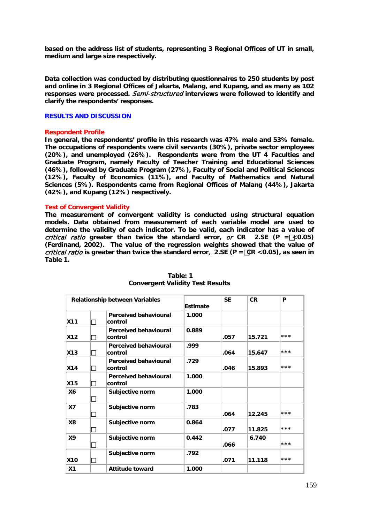**based on the address list of students, representing 3 Regional Offices of UT in small, medium and large size respectively.** 

**Data collection was conducted by distributing questionnaires to 250 students by post and online in 3 Regional Offices of Jakarta, Malang, and Kupang, and as many as 102 responses were processed.** Semi-structured **interviews were followed to identify and clarify the respondents' responses.**

## **RESULTS AND DISCUSSION**

## **Respondent Profile**

**In general, the respondents' profile in this research was 47% male and 53% female. The occupations of respondents were civil servants (30%), private sector employees (20%), and unemployed (26%). Respondents were from the UT 4 Faculties and Graduate Program, namely Faculty of Teacher Training and Educational Sciences (46%), followed by Graduate Program (27%), Faculty of Social and Political Sciences (12%), Faculty of Economics (11%), and Faculty of Mathematics and Natural Sciences (5%). Respondents came from Regional Offices of Malang (44%), Jakarta (42%), and Kupang (12%) respectively.** 

# **Test of Convergent Validity**

**The measurement of convergent validity is conducted using structural equation models. Data obtained from measurement of each variable model are used to determine the validity of each indicator. To be valid, each indicator has a value of**  critical ratio **greater than twice the standard error,** or **CR 2.SE (P =<0.05) (Ferdinand, 2002). The value of the regression weights showed that the value of**  critical ratio **is greater than twice the standard error**, **2.SE (P =CR <0.05), as seen in Table 1.**

| <b>Relationship between Variables</b> |        |                                          | <b>Estimate</b> | <b>SE</b> | <b>CR</b> | P   |
|---------------------------------------|--------|------------------------------------------|-----------------|-----------|-----------|-----|
| <b>X11</b>                            | П      | <b>Perceived behavioural</b><br>∣control | 1.000           |           |           |     |
| <b>X12</b>                            | П      | <b>Perceived behavioural</b><br>control  | 0.889           | .057      | 15.721    | *** |
| X13                                   | П      | <b>Perceived behavioural</b><br>control  | .999            | .064      | 15.647    | *** |
| <b>X14</b>                            | П      | <b>Perceived behavioural</b><br>control  | .729            | .046      | 15.893    | *** |
| <b>X15</b>                            | П      | <b>Perceived behavioural</b><br>control  | 1.000           |           |           |     |
| <b>X6</b>                             | П      | Subjective norm                          | 1.000           |           |           |     |
| X7                                    | $\Box$ | Subjective norm                          | .783            | .064      | 12.245    | *** |
| <b>X8</b>                             | П      | Subjective norm                          | 0.864           | .077      | 11.825    | *** |
| <b>X9</b>                             | П      | Subjective norm                          | 0.442           | .066      | 6.740     | *** |
| <b>X10</b>                            | H      | Subjective norm                          | .792            | .071      | 11.118    | *** |
| X <sub>1</sub>                        |        | <b>Attitude toward</b>                   | 1.000           |           |           |     |

#### **Table: 1 Convergent Validity Test Results**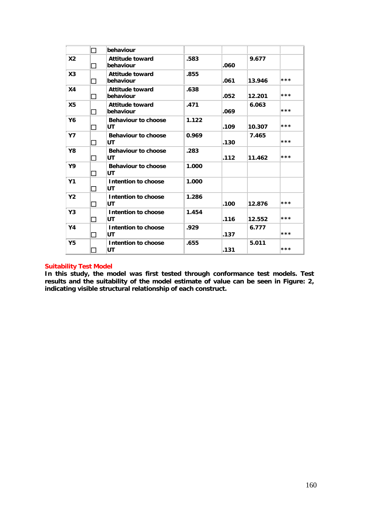|                | П             | behaviour                           |       |      |        |       |
|----------------|---------------|-------------------------------------|-------|------|--------|-------|
| X <sub>2</sub> | П             | <b>Attitude toward</b><br>behaviour | .583  | .060 | 9.677  |       |
| X <sub>3</sub> | П             | <b>Attitude toward</b><br>behaviour | .855  | .061 | 13.946 | ***   |
| X <sub>4</sub> | П             | <b>Attitude toward</b><br>behaviour | .638  | .052 | 12.201 | $***$ |
| X <sub>5</sub> | П             | <b>Attitude toward</b><br>behaviour | .471  | .069 | 6.063  | ***   |
| Y6             | П             | <b>Behaviour to choose</b><br>UT    | 1.122 | .109 | 10.307 | ***   |
| <b>Y7</b>      | n.            | <b>Behaviour to choose</b><br>UT    | 0.969 | .130 | 7.465  | ***   |
| Y8             | П             | <b>Behaviour to choose</b><br>UT    | .283  | .112 | 11.462 | ***   |
| Υ9             | $\mathcal{L}$ | <b>Behaviour to choose</b><br>UT    | 1.000 |      |        |       |
| Y <sub>1</sub> | П             | Intention to choose<br>UT           | 1.000 |      |        |       |
| <b>Y2</b>      | П             | Intention to choose<br>UT           | 1.286 | .100 | 12.876 | $***$ |
| Y3             | П             | Intention to choose<br>UT           | 1.454 | .116 | 12.552 | ***   |
| Y4             | П             | Intention to choose<br>UT           | .929  | .137 | 6.777  | ***   |
| <b>Y5</b>      |               | Intention to choose<br>UT           | .655  | .131 | 5.011  | ***   |

# **Suitability Test Model**

**In this study, the model was first tested through conformance test models. Test results and the suitability of the model estimate of value can be seen in Figure: 2, indicating visible structural relationship of each construct.**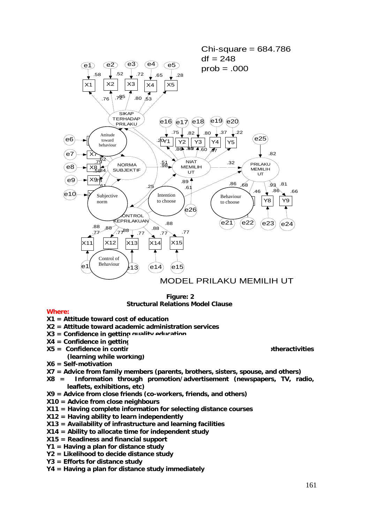

## **Figure: 2 Structural Relations Model Clause**

# **Where:**

- **X1 = Attitude toward cost of education**
- **X2 = Attitude toward academic administration services**
- **X3 = Confidence in getting quality education**
- **X4 = Confidence in getting SV**
- **X5 = Confidence in continuing studies without being disturbed by the otheractivities** 
	- **(learning while working)**
- **X6 = Self-motivation**
- **X7 = Advice from family members (parents, brothers, sisters, spouse, and others)**
- **X8 = Information through promotion/advertisement (newspapers, TV, radio, leaflets, exhibitions, etc)**
- **X9 = Advice from close friends (co-workers, friends, and others)**
- **X10 = Advice from close neighbours**
- **X11 = Having complete information for selecting distance courses**
- **X12 = Having ability to learn independently**
- **X13 = Availability of infrastructure and learning facilities**
- **X14 = Ability to allocate time for independent study**
- **X15 = Readiness and financial support**
- **Y1 = Having a plan for distance study**
- **Y2 = Likelihood to decide distance study**
- **Y3 = Efforts for distance study**
- **Y4 = Having a plan for distance study immediately**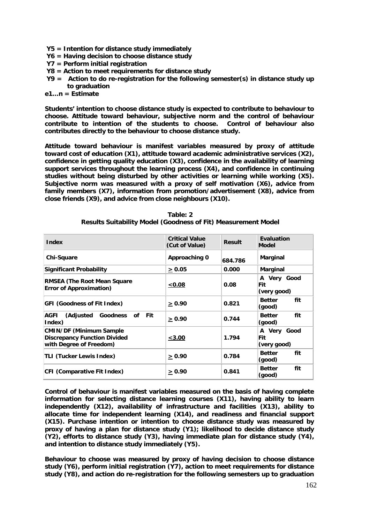- **Y5 = Intention for distance study immediately**
- **Y6 = Having decision to choose distance study**
- **Y7 = Perform initial registration**
- **Y8 = Action to meet requirements for distance study**
- **Y9 = Action to do re-registration for the following semester(s) in distance study up to graduation**

**e1…n = Estimate** 

**Students' intention to choose distance study is expected to contribute to behaviour to choose. Attitude toward behaviour, subjective norm and the control of behaviour contribute to intention of the students to choose. Control of behaviour also contributes directly to the behaviour to choose distance study.** 

**Attitude toward behaviour is manifest variables measured by proxy of attitude toward cost of education (X1), attitude toward academic administrative services (X2), confidence in getting quality education (X3), confidence in the availability of learning support services throughout the learning process (X4), and confidence in continuing studies without being disturbed by other activities or learning while working (X5). Subjective norm was measured with a proxy of self motivation (X6), advice from family members (X7), information from promotion/advertisement (X8), advice from close friends (X9), and advice from close neighbours (X10).**

| <b>Index</b>                                                                                      | <b>Critical Value</b><br>(Cut of Value) | <b>Result</b> | <b>Evaluation</b><br>Model        |  |
|---------------------------------------------------------------------------------------------------|-----------------------------------------|---------------|-----------------------------------|--|
| <b>Chi-Square</b>                                                                                 | Approaching 0                           | 684.786       | <b>Marginal</b>                   |  |
| <b>Significant Probability</b>                                                                    | > 0.05                                  | 0.000         | <b>Marginal</b>                   |  |
| <b>RMSEA (The Root Mean Square)</b><br><b>Error of Approximation)</b>                             | 0.08                                    | 0.08          | A Very Good<br>Fit<br>(very good) |  |
| <b>GFI (Goodness of Fit Index)</b>                                                                | > 0.90                                  | 0.821         | fit<br><b>Better</b><br>(good)    |  |
| (Adjusted Goodness of Fit<br><b>AGFI</b><br>Index)                                                | > 0.90                                  | 0.744         | fit<br><b>Better</b><br>(good)    |  |
| <b>CMIN/DF (Minimum Sample)</b><br><b>Discrepancy Function Divided</b><br>with Degree of Freedom) | < 3.00                                  | 1.794         | A Very Good<br>Fit<br>(very good) |  |
| <b>TLI (Tucker Lewis Index)</b>                                                                   | > 0.90                                  | 0.784         | fit<br><b>Better</b><br>(good)    |  |
| <b>CFI (Comparative Fit Index)</b>                                                                | > 0.90                                  | 0.841         | fit<br><b>Better</b><br>(good)    |  |

| Table: 2                                                      |
|---------------------------------------------------------------|
| Results Suitability Model (Goodness of Fit) Measurement Model |

**Control of behaviour is manifest variables measured on the basis of having complete information for selecting distance learning courses (X11), having ability to learn independently (X12), availability of infrastructure and facilities (X13), ability to allocate time for independent learning (X14), and readiness and financial support (X15). Purchase intention or intention to choose distance study was measured by proxy of having a plan for distance study (Y1); likelihood to decide distance study (Y2), efforts to distance study (Y3), having immediate plan for distance study (Y4), and intention to distance study immediately (Y5).** 

**Behaviour to choose was measured by proxy of having decision to choose distance study (Y6), perform initial registration (Y7), action to meet requirements for distance study (Y8), and action do re-registration for the following semesters up to graduation**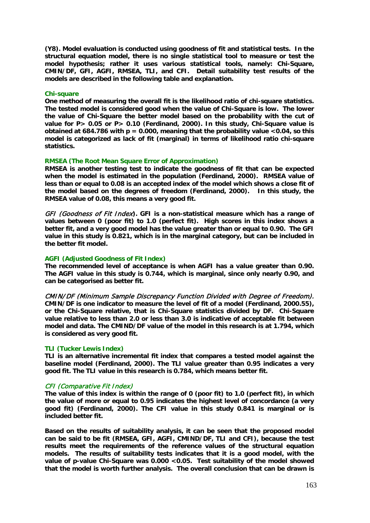**(Y8). Model evaluation is conducted using goodness of fit and statistical tests. In the structural equation model, there is no single statistical tool to measure or test the model hypothesis; rather it uses various statistical tools, namely: Chi-Square, CMIN/DF, GFI, AGFI, RMSEA, TLI, and CFI. Detail suitability test results of the models are described in the following table and explanation.** 

#### **Chi-square**

**One method of measuring the overall fit is the likelihood ratio of chi-square statistics. The tested model is considered good when the value of Chi-Square is low. The lower the value of Chi-Square the better model based on the probability with the cut of value for P> 0.05 or P> 0.10 (Ferdinand, 2000). In this study, Chi-Square value is obtained at 684.786 with p = 0.000, meaning that the probability value <0.04, so this model is categorized as lack of fit (marginal) in terms of likelihood ratio chi-square statistics.**

# **RMSEA (The Root Mean Square Error of Approximation)**

**RMSEA is another testing test to indicate the goodness of fit that can be expected when the model is estimated in the population (Ferdinand, 2000). RMSEA value of less than or equal to 0.08 is an accepted index of the model which shows a close fit of the model based on the degrees of freedom (Ferdinand, 2000). In this study, the RMSEA value of 0.08, this means a very good fit.** 

GFI (Goodness of Fit Index**). GFI is a non-statistical measure which has a range of values between 0 (poor fit) to 1.0 (perfect fit). High scores in this index shows a better fit, and a very good model has the value greater than or equal to 0.90. The GFI value in this study is 0.821, which is in the marginal category, but can be included in the better fit model.**

#### **AGFI (Adjusted Goodness of Fit Index)**

**The recommended level of acceptance is when AGFI has a value greater than 0.90. The AGFI value in this study is 0.744, which is marginal, since only nearly 0.90, and can be categorised as better fit.**

CMIN/DF (Minimum Sample Discrepancy Function Divided with Degree of Freedom). **CMIN/DF is one indicator to measure the level of fit of a model (Ferdinand, 2000.55), or the Chi-Square relative, that is Chi-Square statistics divided by DF. Chi-Square value relative to less than 2.0 or less than 3.0 is indicative of acceptable fit between model and data. The CMIND/DF value of the model in this research is at 1.794, which is considered as very good fit.** 

#### **TLI (Tucker Lewis Index)**

**TLI is an alternative incremental fit index that compares a tested model against the baseline model (Ferdinand, 2000). The TLI value greater than 0.95 indicates a very good fit. The TLI value in this research is 0.784, which means better fit.** 

#### CFI (Comparative Fit Index)

**The value of this index is within the range of 0 (poor fit) to 1.0 (perfect fit), in which the value of more or equal to 0.95 indicates the highest level of concordance (a very good fit) (Ferdinand, 2000). The CFI value in this study 0.841 is marginal or is included better fit.**

**Based on the results of suitability analysis, it can be seen that the proposed model can be said to be fit (RMSEA, GFI, AGFI, CMIND/DF, TLI and CFI), because the test results meet the requirements of the reference values of the structural equation models. The results of suitability tests indicates that it is a good model, with the value of p-value Chi-Square was 0.000 <0.05. Test suitability of the model showed that the model is worth further analysis. The overall conclusion that can be drawn is**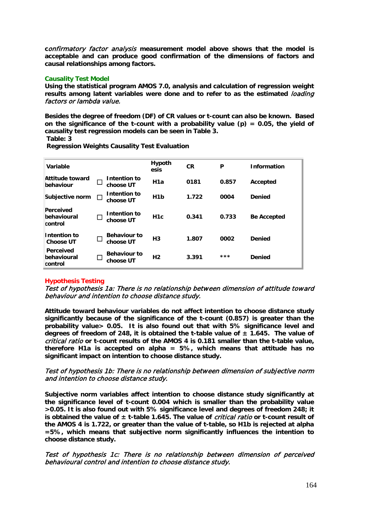**c**onfirmatory factor analysis **measurement model above shows that the model is acceptable and can produce good confirmation of the dimensions of factors and causal relationships among factors.** 

# **Causality Test Model**

**Using the statistical program AMOS 7.0, analysis and calculation of regression weight results among latent variables were done and to refer to as the estimated** loading factors or lambda value.

**Besides the degree of freedom (DF) of CR values or t-count can also be known. Based on the significance of the t-count with a probability value (p) = 0.05, the yield of causality test regression models can be seen in Table 3.** 

**Table: 3** 

| Variable                                   |   |                                  | <b>Hypoth</b><br>esis | <b>CR</b> | P     | <b>Information</b> |
|--------------------------------------------|---|----------------------------------|-----------------------|-----------|-------|--------------------|
| Attitude toward<br>behaviour               |   | Intention to<br>choose UT        | H1a                   | 0181      | 0.857 | Accepted           |
| Subjective norm                            | П | Intention to<br>choose UT        | H <sub>1</sub> b      | 1.722     | 0004  | <b>Denied</b>      |
| Perceived<br>behavioural<br>control        |   | Intention to<br>choose UT        | H <sub>1</sub> c      | 0.341     | 0.733 | <b>Be Accepted</b> |
| Intention to<br><b>Choose UT</b>           |   | <b>Behaviour to</b><br>choose UT | H <sub>3</sub>        | 1.807     | 0002  | <b>Denied</b>      |
| <b>Perceived</b><br>behavioural<br>control |   | <b>Behaviour to</b><br>choose UT | H <sub>2</sub>        | 3.391     | $***$ | <b>Denied</b>      |

**Regression Weights Causality Test Evaluation**

# **Hypothesis Testing**

Test of hypothesis 1a: There is no relationship between dimension of attitude toward behaviour and intention to choose distance study.

**Attitude toward behaviour variables do not affect intention to choose distance study significantly because of the significance of the t-count (0.857) is greater than the probability value> 0.05. It is also found out that with 5% significance level and degrees of freedom of 248, it is obtained the t-table value of ± 1.645. The value of**  critical ratio **or t-count results of the AMOS 4 is 0.181 smaller than the t-table value, therefore H1a is accepted on alpha = 5%, which means that attitude has no significant impact on intention to choose distance study.**

# Test of hypothesis 1b: There is no relationship between dimension of subjective norm and intention to choose distance study.

**Subjective norm variables affect intention to choose distance study significantly at the significance level of t-count 0.004 which is smaller than the probability value >0.05. It is also found out with 5% significance level and degrees of freedom 248; it is obtained the value of ± t-table 1.645. The value of** critical ratio **or t-count result of the AMOS 4 is 1.722, or greater than the value of t-table, so H1b is rejected at alpha =5%, which means that subjective norm significantly influences the intention to choose distance study.**

# Test of hypothesis 1c: There is no relationship between dimension of perceived behavioural control and intention to choose distance study.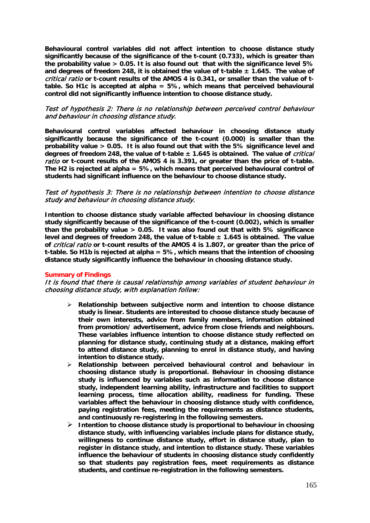**Behavioural control variables did not affect intention to choose distance study significantly because of the significance of the t-count (0.733), which is greater than the probability value > 0.05. It is also found out that with the significance level 5% and degrees of freedom 248, it is obtained the value of t-table ± 1.645. The value of**  critical ratio **or t-count results of the AMOS 4 is 0.341, or smaller than the value of ttable. So H1c is accepted at alpha = 5%, which means that perceived behavioural control did not significantly influence intention to choose distance study.**

# Test of hypothesis 2: There is no relationship between perceived control behaviour and behaviour in choosing distance study.

**Behavioural control variables affected behaviour in choosing distance study significantly because the significance of the t-count (0.000) is smaller than the probability value > 0.05. It is also found out that with the 5% significance level and degrees of freedom 248, the value of t-table ± 1.645 is obtained. The value of** critical ratio **or t-count results of the AMOS 4 is 3.391, or greater than the price of t-table. The H2 is rejected at alpha = 5%, which means that perceived behavioural control of students had significant influence on the behaviour to choose distance study.** 

# Test of hypothesis 3: There is no relationship between intention to choose distance study and behaviour in choosing distance study.

**Intention to choose distance study variable affected behaviour in choosing distance study significantly because of the significance of the t-count (0.002), which is smaller than the probability value > 0.05. It was also found out that with 5% significance level and degrees of freedom 248, the value of t-table ± 1.645 is obtained. The value of** critical ratio **or t-count results of the AMOS 4 is 1.807, or greater than the price of t-table. So H1b is rejected at alpha = 5%, which means that the intention of choosing distance study significantly influence the behaviour in choosing distance study.**

#### **Summary of Findings**

# It is found that there is causal relationship among variables of student behaviour in choosing distance study, with explanation follow:

- **Relationship between subjective norm and intention to choose distance study is linear. Students are interested to choose distance study because of their own interests, advice from family members, information obtained from promotion/ advertisement, advice from close friends and neighbours. These variables influence intention to choose distance study reflected on planning for distance study, continuing study at a distance, making effort to attend distance study, planning to enrol in distance study, and having intention to distance study.**
- **Relationship between perceived behavioural control and behaviour in choosing distance study is proportional. Behaviour in choosing distance study is influenced by variables such as information to choose distance study, independent learning ability, infrastructure and facilities to support learning process, time allocation ability, readiness for funding. These variables affect the behaviour in choosing distance study with confidence, paying registration fees, meeting the requirements as distance students, and continuously re-registering in the following semesters.**
- **Intention to choose distance study is proportional to behaviour in choosing distance study, with influencing variables include plans for distance study, willingness to continue distance study, effort in distance study, plan to register in distance study, and intention to distance study. These variables influence the behaviour of students in choosing distance study confidently so that students pay registration fees, meet requirements as distance students, and continue re-registration in the following semesters.**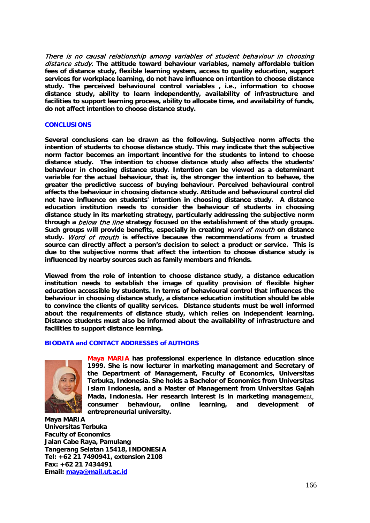There is no causal relationship among variables of student behaviour in choosing distance study. **The attitude toward behaviour variables, namely affordable tuition fees of distance study, flexible learning system, access to quality education, support services for workplace learning, do not have influence on intention to choose distance study. The perceived behavioural control variables , i.e., information to choose distance study, ability to learn independently, availability of infrastructure and facilities to support learning process, ability to allocate time, and availability of funds, do not affect intention to choose distance study.** 

## **CONCLUSIONS**

**Several conclusions can be drawn as the following. Subjective norm affects the intention of students to choose distance study. This may indicate that the subjective norm factor becomes an important incentive for the students to intend to choose distance study. The intention to choose distance study also affects the students' behaviour in choosing distance study. Intention can be viewed as a determinant variable for the actual behaviour, that is, the stronger the intention to behave, the greater the predictive success of buying behaviour. Perceived behavioural control affects the behaviour in choosing distance study. Attitude and behavioural control did not have influence on students' intention in choosing distance study. A distance education institution needs to consider the behaviour of students in choosing distance study in its marketing strategy, particularly addressing the subjective norm through a** below the line **strategy focused on the establishment of the study groups. Such groups will provide benefits, especially in creating** word of mouth **on distance study.** Word of mouth **is effective because the recommendations from a trusted source can directly affect a person's decision to select a product or service. This is due to the subjective norms that affect the intention to choose distance study is influenced by nearby sources such as family members and friends.**

**Viewed from the role of intention to choose distance study, a distance education institution needs to establish the image of quality provision of flexible higher education accessible by students. In terms of behavioural control that influences the behaviour in choosing distance study, a distance education institution should be able to convince the clients of quality services. Distance students must be well informed about the requirements of distance study, which relies on independent learning. Distance students must also be informed about the availability of infrastructure and facilities to support distance learning.**

# **BIODATA and CONTACT ADDRESSES of AUTHORS**



**Maya MARIA has professional experience in distance education since 1999. She is now lecturer in marketing management and Secretary of the Department of Management, Faculty of Economics, Universitas Terbuka, Indonesia. She holds a Bachelor of Economics from Universitas Islam Indonesia, and a Master of Management from Universitas Gajah Mada, Indonesia. Her research interest is in marketing managem**ent, **consumer behaviour, online learning, and development of entrepreneurial university.**

**Maya MARIA Universitas Terbuka Faculty of Economics Jalan Cabe Raya, Pamulang Tangerang Selatan 15418, INDONESIA Tel: +62 21 7490941, extension 2108 Fax: +62 21 7434491 Email: [maya@mail.ut.ac.id](mailto:maya@mail.ut.ac.id)**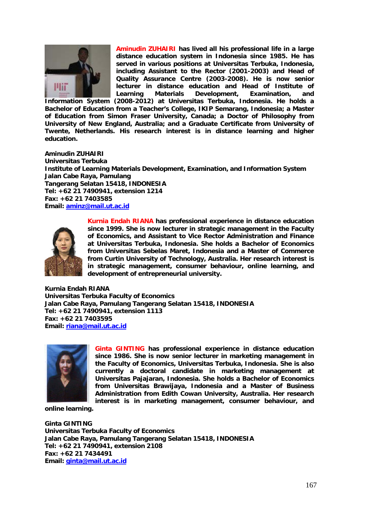

**Aminudin ZUHAIRI has lived all his professional life in a large distance education system in Indonesia since 1985. He has served in various positions at Universitas Terbuka, Indonesia, including Assistant to the Rector (2001-2003) and Head of Quality Assurance Centre (2003-2008). He is now senior lecturer in distance education and Head of Institute of Learning Materials Development, Examination, and** 

**Information System (2008-2012) at Universitas Terbuka, Indonesia. He holds a Bachelor of Education from a Teacher's College, IKIP Semarang, Indonesia; a Master of Education from Simon Fraser University, Canada; a Doctor of Philosophy from University of New England, Australia; and a Graduate Certificate from University of Twente, Netherlands. His research interest is in distance learning and higher education.**

# **Aminudin ZUHAIRI**

**Universitas Terbuka Institute of Learning Materials Development, Examination, and Information System Jalan Cabe Raya, Pamulang Tangerang Selatan 15418, INDONESIA Tel: +62 21 7490941, extension 1214 Fax: +62 21 7403585 Email: [aminz@mail.ut.ac.id](mailto:aminz@mail.ut.ac.id)**



**Kurnia Endah RIANA has professional experience in distance education since 1999. She is now lecturer in strategic management in the Faculty of Economics, and Assistant to Vice Rector Administration and Finance at Universitas Terbuka, Indonesia. She holds a Bachelor of Economics from Universitas Sebelas Maret, Indonesia and a Master of Commerce from Curtin University of Technology, Australia. Her research interest is in strategic management, consumer behaviour, online learning, and development of entrepreneurial university.**

**Kurnia Endah RIANA Universitas Terbuka Faculty of Economics Jalan Cabe Raya, Pamulang Tangerang Selatan 15418, INDONESIA Tel: +62 21 7490941, extension 1113 Fax: +62 21 7403595 Email: [riana@mail.ut.ac.id](mailto:riana@mail.ut.ac.id)**



**Ginta GINTING has professional experience in distance education since 1986. She is now senior lecturer in marketing management in the Faculty of Economics, Universitas Terbuka, Indonesia. She is also currently a doctoral candidate in marketing management at Universitas Pajajaran, Indonesia. She holds a Bachelor of Economics from Universitas Brawijaya, Indonesia and a Master of Business Administration from Edith Cowan University, Australia. Her research interest is in marketing management, consumer behaviour, and** 

**online learning.**

**Ginta GINTING Universitas Terbuka Faculty of Economics Jalan Cabe Raya, Pamulang Tangerang Selatan 15418, INDONESIA Tel: +62 21 7490941, extension 2108 Fax: +62 21 7434491 Email: [ginta@mail.ut.ac.id](mailto:ginta@mail.ut.ac.id)**